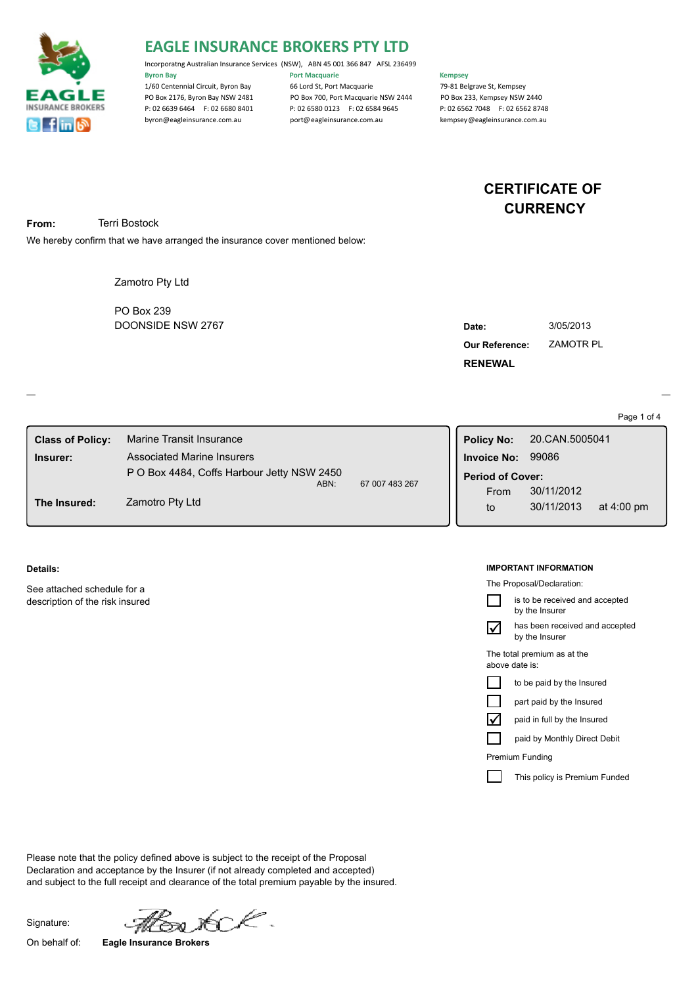

# **EAGLE INSURANCE BROKERS PTY LTD**

Incorporatng Australian Insurance Services (NSW), ABN 45 001 366 847 AFSL 236499 **Byron Bay Community Community Port Macquarie Community Community Community Community Community Community Community** 1/60 Centennial Circuit, Byron Bay 66 Lord St, Port Macquarie 79-81 Belgrave St, Kempsey PO Box 2176, Byron Bay NSW 2481 PO Box 700, Port Macquarie NSW 2444 PO Box 233, Kempsey NSW 2440<br>P: 02 6539 6464 F: 02 6580 8401 P: 02 6580 0123 F: 02 6584 9645 P: 02 6562 7048 F: 02 6562 8748 P: 02 6580 0123 F: 02 6584 9645

byron@eagleinsurance.com.au port@eagleinsurance.com.au kempsey@eagleinsurance.com.au

# **CERTIFICATE OF CURRENCY**

**From:** Terri Bostock

We hereby confirm that we have arranged the insurance cover mentioned below:

Zamotro Pty Ltd

DOONSIDE NSW 2767 PO Box 239

| Date:                 | 3/05/2013 |
|-----------------------|-----------|
| <b>Our Reference:</b> | ZAMOTR PL |
| <b>RENEWAL</b>        |           |

Page 1 of 4

| <b>Class of Policy:</b>         | Marine Transit Insurance                                                        |                | <b>Policy No:</b>       | 20.CAN.5005041 |                      |  |
|---------------------------------|---------------------------------------------------------------------------------|----------------|-------------------------|----------------|----------------------|--|
| Insurer:                        | <b>Associated Marine Insurers</b><br>P O Box 4484, Coffs Harbour Jetty NSW 2450 |                | <b>Invoice No:</b>      | 99086          |                      |  |
|                                 |                                                                                 |                | <b>Period of Cover:</b> |                |                      |  |
| Zamotro Pty Ltd<br>The Insured: | ABN:                                                                            | 67 007 483 267 | From                    | 30/11/2012     |                      |  |
|                                 |                                                                                 |                | to                      | 30/11/2013     | at $4:00 \text{ pm}$ |  |
|                                 |                                                                                 |                |                         |                |                      |  |

### **Details:**

See attached schedule for a description of the risk insured

#### **IMPORTANT INFORMATION**

The Proposal/Declaration:

|                      | is to be received and accepted<br>by the Insurer |
|----------------------|--------------------------------------------------|
| M                    | has been received and accepted<br>by the Insurer |
|                      | The total premium as at the<br>above date is:    |
|                      | to be paid by the Insured                        |
|                      | part paid by the Insured                         |
| $\blacktriangledown$ | paid in full by the Insured                      |
|                      | paid by Monthly Direct Debit                     |
|                      |                                                  |

Premium Funding

This policy is Premium Funded

Please note that the policy defined above is subject to the receipt of the Proposal Declaration and acceptance by the Insurer (if not already completed and accepted) and subject to the full receipt and clearance of the total premium payable by the insured.

Signature:

r∕C.

On behalf of: **Eagle Insurance Brokers**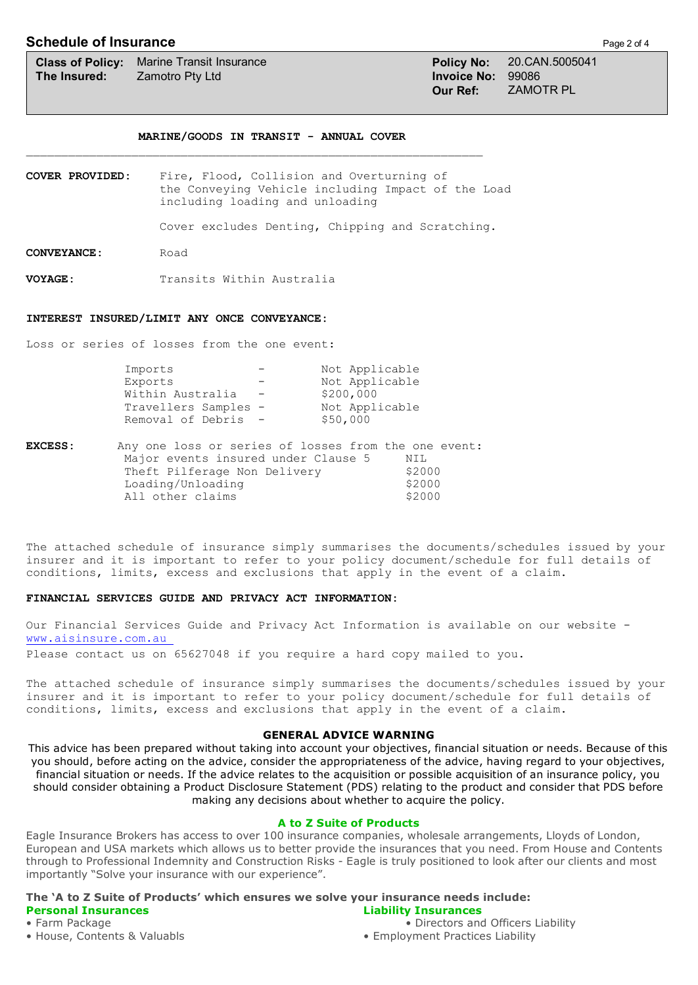## **Schedule of Insurance** Page 2 of 4

### **MARINE/GOODS IN TRANSIT - ANNUAL COVER**

\_\_\_\_\_\_\_\_\_\_\_\_\_\_\_\_\_\_\_\_\_\_\_\_\_\_\_\_\_\_\_\_\_\_\_\_\_\_\_\_\_\_\_\_\_\_\_\_\_\_\_\_\_\_\_\_\_\_\_\_\_\_\_\_\_

**COVER PROVIDED:** Fire, Flood, Collision and Overturning of the Conveying Vehicle including Impact of the Load including loading and unloading

Cover excludes Denting, Chipping and Scratching.

**CONVEYANCE:** Road

**VOYAGE:** Transits Within Australia

### **INTEREST INSURED/LIMIT ANY ONCE CONVEYANCE:**

Loss or series of losses from the one event:

| Imports              |                          | Not Applicable |
|----------------------|--------------------------|----------------|
| Exports              |                          | Not Applicable |
| Within Australia     | $\overline{\phantom{m}}$ | \$200,000      |
| Travellers Samples - |                          | Not Applicable |
| Removal of Debris -  |                          | \$50,000       |
|                      |                          |                |

| <b>EXCESS:</b> | Any one loss or series of losses from the one event: |        |  |  |
|----------------|------------------------------------------------------|--------|--|--|
|                | Major events insured under Clause 5                  | NIL    |  |  |
|                | Theft Pilferage Non Delivery                         | \$2000 |  |  |
|                | Loading/Unloading                                    | \$2000 |  |  |
|                | All other claims                                     | \$2000 |  |  |

The attached schedule of insurance simply summarises the documents/schedules issued by your insurer and it is important to refer to your policy document/schedule for full details of conditions, limits, excess and exclusions that apply in the event of a claim.

#### **FINANCIAL SERVICES GUIDE AND PRIVACY ACT INFORMATION:**

Our Financial Services Guide and Privacy Act Information is available on our website www.aisinsure.com.au

Please contact us on 65627048 if you require a hard copy mailed to you.

The attached schedule of insurance simply summarises the documents/schedules issued by your insurer and it is important to refer to your policy document/schedule for full details of conditions, limits, excess and exclusions that apply in the event of a claim.

## **GENERAL ADVICE WARNING**

This advice has been prepared without taking into account your objectives, financial situation or needs. Because of this you should, before acting on the advice, consider the appropriateness of the advice, having regard to your objectives, financial situation or needs. If the advice relates to the acquisition or possible acquisition of an insurance policy, you should consider obtaining a Product Disclosure Statement (PDS) relating to the product and consider that PDS before making any decisions about whether to acquire the policy.

## **A to Z Suite of Products**

Eagle Insurance Brokers has access to over 100 insurance companies, wholesale arrangements, Lloyds of London, European and USA markets which allows us to better provide the insurances that you need. From House and Contents through to Professional Indemnity and Construction Risks - Eagle is truly positioned to look after our clients and most importantly "Solve your insurance with our experience".

## **The 'A to Z Suite of Products' which ensures we solve your insurance needs include: Personal Insurances Liability Insurances**

• House, Contents & Valuabls **• Employment Practices Liability** • Employment Practices Liability

• Farm Package • **Directors and Officers Liability** • Directors and Officers Liability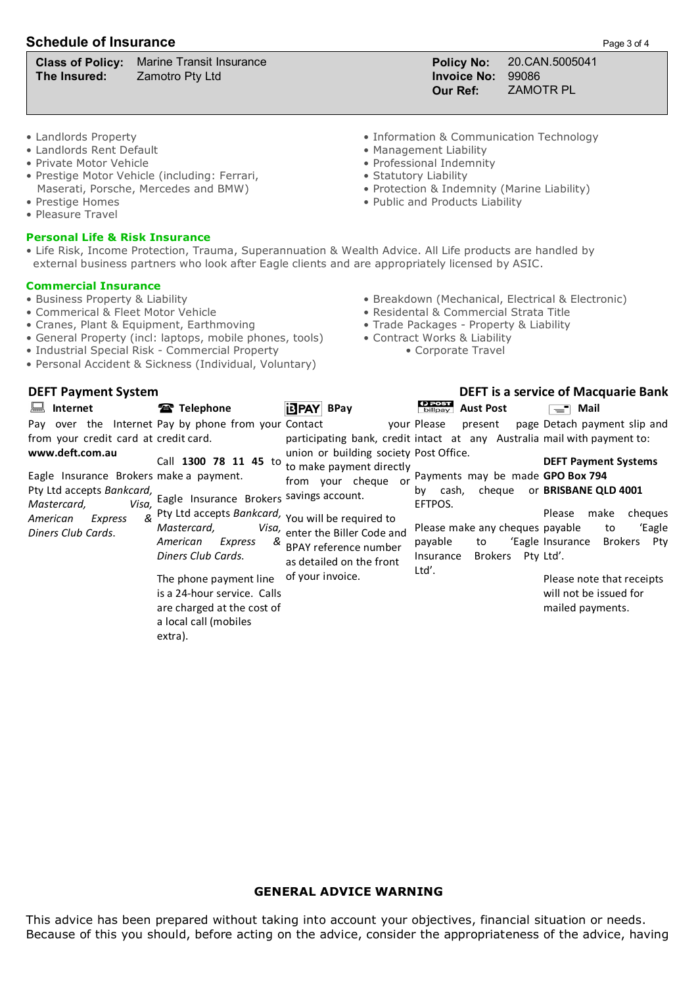# **Schedule of Insurance** Page 3 of 4

**The Insured:** Zamotro Pty Ltd **Invoice No:** 99086

**Class of Policy:** Marine Transit Insurance **Policy No:** 20.CAN.5005041 **Our Ref:** ZAMOTR PL

- 
- $\bullet$  Landlords Rent Default
- Private Motor Vehicle Professional Indemnity
- Prestige Motor Vehicle (including: Ferrari,  $\overline{a}$  Statutory Liability Maserati, Porsche, Mercedes and BMW) Maserati, Porsche, Mercedes and BMW) • Protection & Indemnity (Marine Liability)<br>• Prestige Homes • Public and Products Liability
- Pleasure Travel
- 

## **Personal Life & Risk Insurance**

- Landlords Property Information & Communication Technology
	-
	-
	-
	-
	- $\bullet$  Public and Products Liability
- Life Risk, Income Protection, Trauma, Superannuation & Wealth Advice. All Life products are handled by external business partners who look after Eagle clients and are appropriately licensed by ASIC.

## **Commercial Insurance**

- 
- Commerical & Fleet Motor Vehicle Residental & Commercial Strata Title
- Cranes, Plant & Equipment, Earthmoving Trade Packages Property & Liability
- General Property (incl: laptops, mobile phones, tools) Contract Works & Liability
- Industrial Special Risk Commercial Property Corporate Travel
- Personal Accident & Sickness (Individual, Voluntary)

• Business Property & Liability **• Breakdown (Mechanical, Electrical & Electronic)** 

- 
- 
- 
- 

| <b>DEFT Payment System</b>                                                                                                                                                                                             |                                                                                                                                                                                                                                                                                                                                                                    | <b>DEFT is a service of Macquarie Bank</b>                                                                                                                                                                             |                                                                                                                                                                                                                                                                 |                                                                                                                                                                                                                                                                |  |
|------------------------------------------------------------------------------------------------------------------------------------------------------------------------------------------------------------------------|--------------------------------------------------------------------------------------------------------------------------------------------------------------------------------------------------------------------------------------------------------------------------------------------------------------------------------------------------------------------|------------------------------------------------------------------------------------------------------------------------------------------------------------------------------------------------------------------------|-----------------------------------------------------------------------------------------------------------------------------------------------------------------------------------------------------------------------------------------------------------------|----------------------------------------------------------------------------------------------------------------------------------------------------------------------------------------------------------------------------------------------------------------|--|
| Internet<br>ᆸ                                                                                                                                                                                                          | Telephone                                                                                                                                                                                                                                                                                                                                                          | <b>idPAY</b> BPay                                                                                                                                                                                                      | () POST<br>billpay<br><b>Aust Post</b>                                                                                                                                                                                                                          | Mail<br>$\equiv$                                                                                                                                                                                                                                               |  |
| from your credit card at credit card.<br>www.deft.com.au<br>Eagle Insurance Brokers make a payment.<br>Pty Ltd accepts Bankcard,<br>Mastercard,<br>Visa,<br>$\mathcal{R}$<br>American<br>Express<br>Diners Club Cards. | Pay over the Internet Pay by phone from your Contact<br>Call 1300 78 11 45 to<br>Eagle Insurance Brokers<br>Pty Ltd accepts Bankcard, You will be required to<br>Mastercard,<br>Visa,<br>American<br>Express<br>&<br>Diners Club Cards.<br>The phone payment line<br>is a 24-hour service. Calls<br>are charged at the cost of<br>a local call (mobiles<br>extra). | union or building society Post Office.<br>to make payment directly<br>from your cheque<br>or<br>savings account.<br>enter the Biller Code and<br>BPAY reference number<br>as detailed on the front<br>of your invoice. | vour Please<br>present<br>participating bank, credit intact at any Australia mail with payment to:<br>Payments may be made GPO Box 794<br>cheque<br>cash,<br>bv<br>EFTPOS.<br>Please make any cheques payable<br>payable<br>to<br>Brokers<br>Insurance<br>Ltd'. | page Detach payment slip and<br><b>DEFT Payment Systems</b><br>or BRISBANE QLD 4001<br>make<br>cheques<br>Please<br>'Eagle<br>to<br>'Eagle Insurance<br>Brokers<br>Ptv<br>Pty Ltd'.<br>Please note that receipts<br>will not be issued for<br>mailed payments. |  |

## **GENERAL ADVICE WARNING**

This advice has been prepared without taking into account your objectives, financial situation or needs. Because of this you should, before acting on the advice, consider the appropriateness of the advice, having